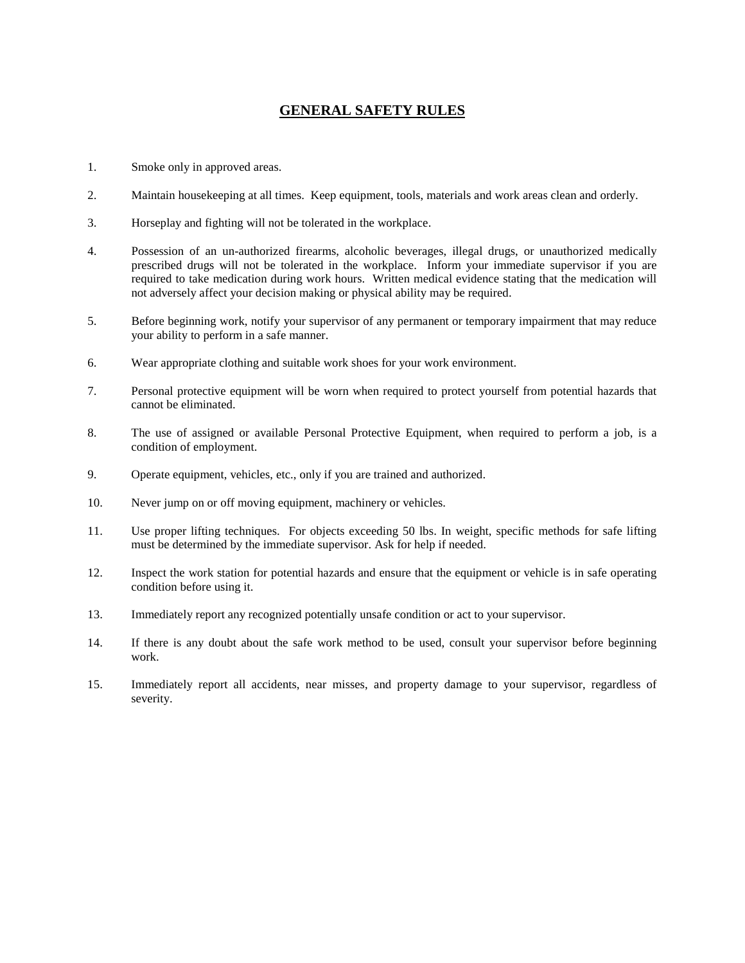## **GENERAL SAFETY RULES**

- 1. Smoke only in approved areas.
- 2. Maintain housekeeping at all times. Keep equipment, tools, materials and work areas clean and orderly.
- 3. Horseplay and fighting will not be tolerated in the workplace.
- 4. Possession of an un-authorized firearms, alcoholic beverages, illegal drugs, or unauthorized medically prescribed drugs will not be tolerated in the workplace. Inform your immediate supervisor if you are required to take medication during work hours. Written medical evidence stating that the medication will not adversely affect your decision making or physical ability may be required.
- 5. Before beginning work, notify your supervisor of any permanent or temporary impairment that may reduce your ability to perform in a safe manner.
- 6. Wear appropriate clothing and suitable work shoes for your work environment.
- 7. Personal protective equipment will be worn when required to protect yourself from potential hazards that cannot be eliminated.
- 8. The use of assigned or available Personal Protective Equipment, when required to perform a job, is a condition of employment.
- 9. Operate equipment, vehicles, etc., only if you are trained and authorized.
- 10. Never jump on or off moving equipment, machinery or vehicles.
- 11. Use proper lifting techniques. For objects exceeding 50 lbs. In weight, specific methods for safe lifting must be determined by the immediate supervisor. Ask for help if needed.
- 12. Inspect the work station for potential hazards and ensure that the equipment or vehicle is in safe operating condition before using it.
- 13. Immediately report any recognized potentially unsafe condition or act to your supervisor.
- 14. If there is any doubt about the safe work method to be used, consult your supervisor before beginning work.
- 15. Immediately report all accidents, near misses, and property damage to your supervisor, regardless of severity.